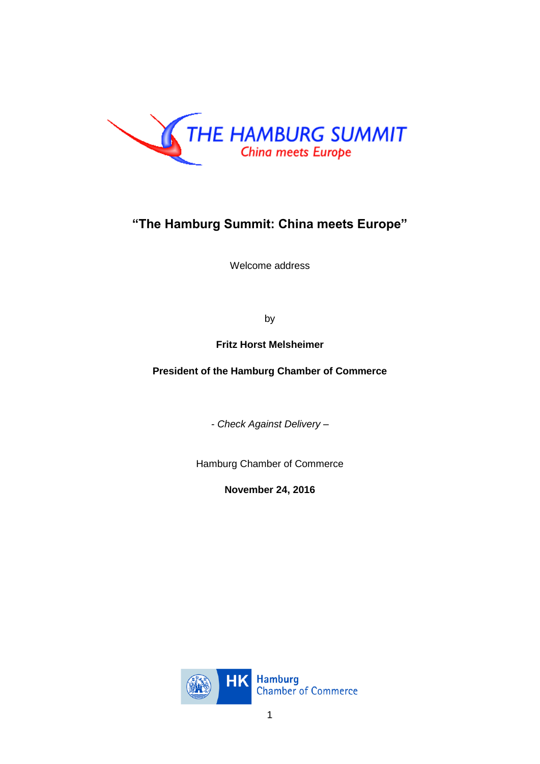

## **"The Hamburg Summit: China meets Europe"**

Welcome address

by

**Fritz Horst Melsheimer**

**President of the Hamburg Chamber of Commerce**

*- Check Against Delivery –*

Hamburg Chamber of Commerce

**November 24, 2016**

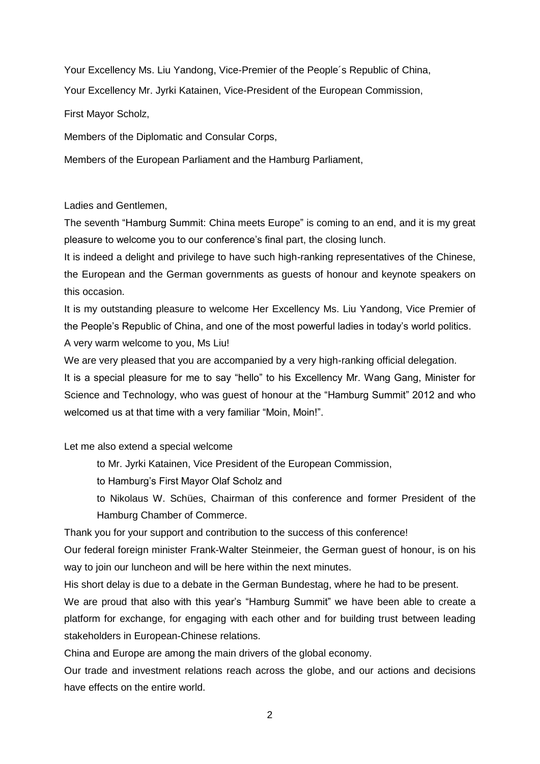Your Excellency Ms. Liu Yandong, Vice-Premier of the People´s Republic of China,

Your Excellency Mr. Jyrki Katainen, Vice-President of the European Commission,

First Mayor Scholz,

Members of the Diplomatic and Consular Corps,

Members of the European Parliament and the Hamburg Parliament,

Ladies and Gentlemen,

The seventh "Hamburg Summit: China meets Europe" is coming to an end, and it is my great pleasure to welcome you to our conference's final part, the closing lunch.

It is indeed a delight and privilege to have such high-ranking representatives of the Chinese, the European and the German governments as guests of honour and keynote speakers on this occasion.

It is my outstanding pleasure to welcome Her Excellency Ms. Liu Yandong, Vice Premier of the People's Republic of China, and one of the most powerful ladies in today's world politics.

A very warm welcome to you, Ms Liu!

We are very pleased that you are accompanied by a very high-ranking official delegation.

It is a special pleasure for me to say "hello" to his Excellency Mr. Wang Gang, Minister for Science and Technology, who was guest of honour at the "Hamburg Summit" 2012 and who welcomed us at that time with a very familiar "Moin, Moin!".

Let me also extend a special welcome

to Mr. Jyrki Katainen, Vice President of the European Commission,

to Hamburg's First Mayor Olaf Scholz and

to Nikolaus W. Schües, Chairman of this conference and former President of the Hamburg Chamber of Commerce.

Thank you for your support and contribution to the success of this conference!

Our federal foreign minister Frank-Walter Steinmeier, the German guest of honour, is on his way to join our luncheon and will be here within the next minutes.

His short delay is due to a debate in the German Bundestag, where he had to be present.

We are proud that also with this year's "Hamburg Summit" we have been able to create a platform for exchange, for engaging with each other and for building trust between leading stakeholders in European-Chinese relations.

China and Europe are among the main drivers of the global economy.

Our trade and investment relations reach across the globe, and our actions and decisions have effects on the entire world.